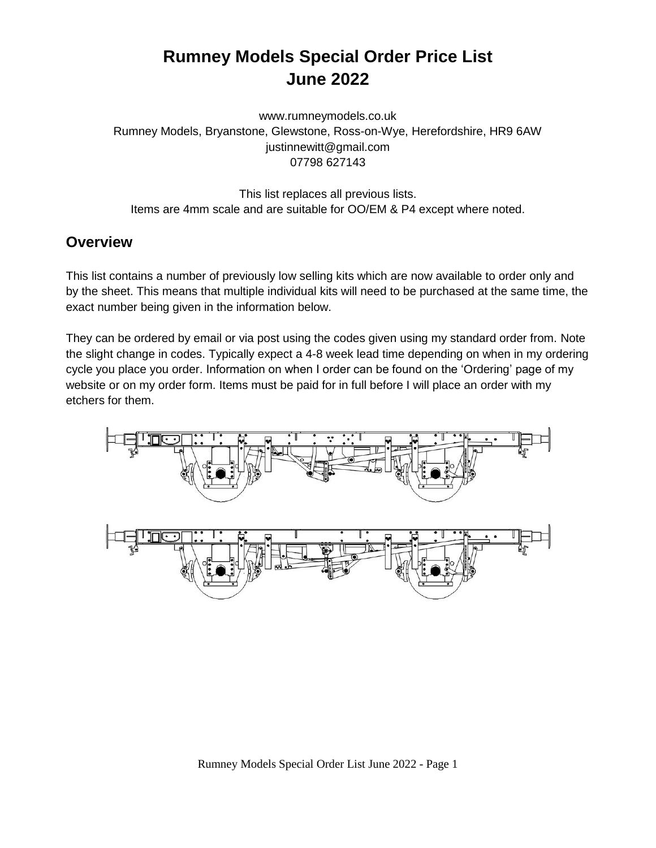# **Rumney Models Special Order Price List June 2022**

www.rumneymodels.co.uk Rumney Models, Bryanstone, Glewstone, Ross-on-Wye, Herefordshire, HR9 6AW justinnewitt@gmail.com 07798 627143

This list replaces all previous lists. Items are 4mm scale and are suitable for OO/EM & P4 except where noted.

### **Overview**

This list contains a number of previously low selling kits which are now available to order only and by the sheet. This means that multiple individual kits will need to be purchased at the same time, the exact number being given in the information below.

They can be ordered by email or via post using the codes given using my standard order from. Note the slight change in codes. Typically expect a 4-8 week lead time depending on when in my ordering cycle you place you order. Information on when I order can be found on the 'Ordering' page of my website or on my order form. Items must be paid for in full before I will place an order with my etchers for them.